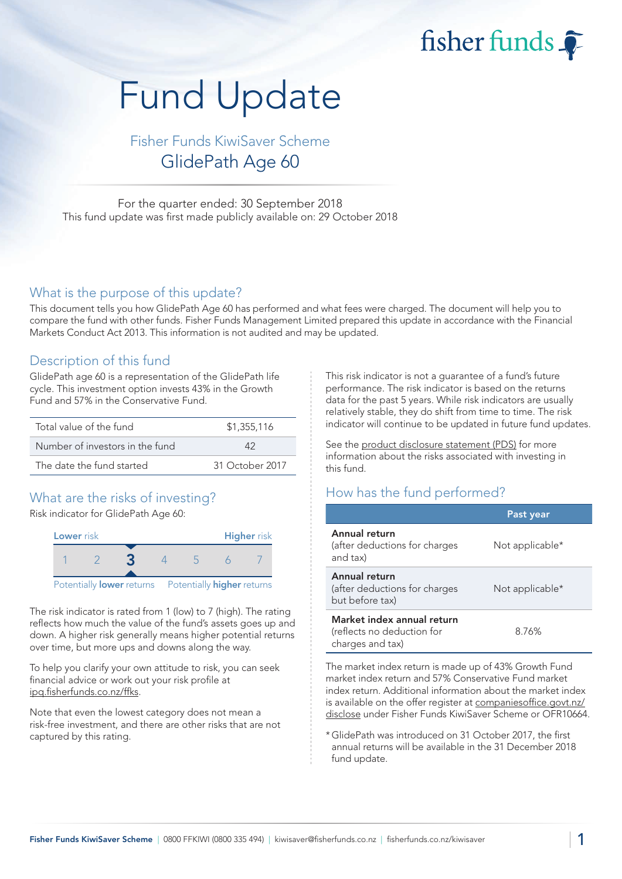fisher funds

# Fund Update

# Fisher Funds KiwiSaver Scheme GlidePath Age 60

For the quarter ended: 30 September 2018 This fund update was first made publicly available on: 29 October 2018

### What is the purpose of this update?

This document tells you how GlidePath Age 60 has performed and what fees were charged. The document will help you to compare the fund with other funds. Fisher Funds Management Limited prepared this update in accordance with the Financial Markets Conduct Act 2013. This information is not audited and may be updated.

## Description of this fund

GlidePath age 60 is a representation of the GlidePath life cycle. This investment option invests 43% in the Growth Fund and 57% in the Conservative Fund.

| Total value of the fund         | \$1,355,116     |  |
|---------------------------------|-----------------|--|
| Number of investors in the fund | ハウ              |  |
| The date the fund started       | 31 October 2017 |  |

## What are the risks of investing?

Risk indicator for GlidePath Age 60:



The risk indicator is rated from 1 (low) to 7 (high). The rating reflects how much the value of the fund's assets goes up and down. A higher risk generally means higher potential returns over time, but more ups and downs along the way.

To help you clarify your own attitude to risk, you can seek financial advice or work out your risk profile at [ipq.fisherfunds.co.nz/ffks.](https://ipq.fisherfunds.co.nz/ffks)

Note that even the lowest category does not mean a risk-free investment, and there are other risks that are not captured by this rating.

This risk indicator is not a guarantee of a fund's future performance. The risk indicator is based on the returns data for the past 5 years. While risk indicators are usually relatively stable, they do shift from time to time. The risk indicator will continue to be updated in future fund updates.

See the [product disclosure statement \(PDS\)](https://fisherfunds.co.nz/assets/PDS/Fisher-Funds-KiwiSaver-Scheme-PDS.pdf) for more information about the risks associated with investing in this fund.

## How has the fund performed?

|                                                                              | Past year       |
|------------------------------------------------------------------------------|-----------------|
| Annual return<br>(after deductions for charges<br>and tax)                   | Not applicable* |
| Annual return<br>(after deductions for charges<br>but before tax)            | Not applicable* |
| Market index annual return<br>(reflects no deduction for<br>charges and tax) | 8.76%           |

The market index return is made up of 43% Growth Fund market index return and 57% Conservative Fund market index return. Additional information about the market index is available on the offer register at [companiesoffice.govt.nz/](http://companiesoffice.govt.nz/disclose) [disclose](http://companiesoffice.govt.nz/disclose) under Fisher Funds KiwiSaver Scheme or OFR10664.

\*GlidePath was introduced on 31 October 2017, the first annual returns will be available in the 31 December 2018 fund update.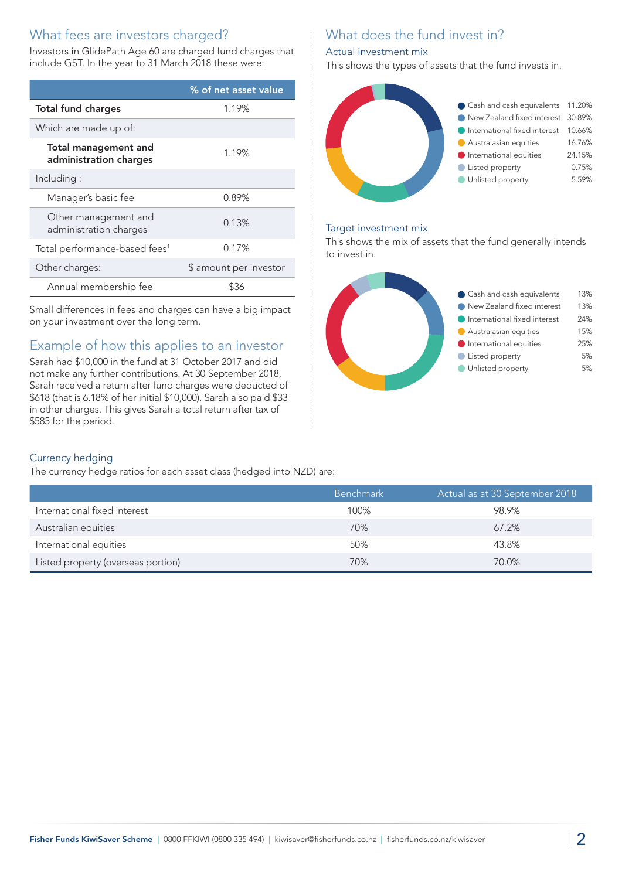## What fees are investors charged?

Investors in GlidePath Age 60 are charged fund charges that include GST. In the year to 31 March 2018 these were:

|                                                       | % of net asset value   |
|-------------------------------------------------------|------------------------|
| <b>Total fund charges</b>                             | 1.19%                  |
| Which are made up of:                                 |                        |
| <b>Total management and</b><br>administration charges | 1.19%                  |
| Including:                                            |                        |
| Manager's basic fee                                   | 0.89%                  |
| Other management and<br>administration charges        | 0.13%                  |
| Total performance-based fees <sup>1</sup>             | 0.17%                  |
| Other charges:                                        | \$ amount per investor |
| Annual membership fee                                 | \$36                   |

Small differences in fees and charges can have a big impact on your investment over the long term.

# Example of how this applies to an investor

Sarah had \$10,000 in the fund at 31 October 2017 and did not make any further contributions. At 30 September 2018, Sarah received a return after fund charges were deducted of \$618 (that is 6.18% of her initial \$10,000). Sarah also paid \$33 in other charges. This gives Sarah a total return after tax of \$585 for the period.

# What does the fund invest in?

## Actual investment mix

This shows the types of assets that the fund invests in.



#### Target investment mix

This shows the mix of assets that the fund generally intends to invest in.



## Currency hedging

The currency hedge ratios for each asset class (hedged into NZD) are:

|                                    | <b>Benchmark</b> | Actual as at 30 September 2018 |
|------------------------------------|------------------|--------------------------------|
| International fixed interest       | 100%             | 98.9%                          |
| Australian equities                | 70%              | $67.2\%$                       |
| International equities             | 50%              | 43.8%                          |
| Listed property (overseas portion) | 70%              | 70.0%                          |